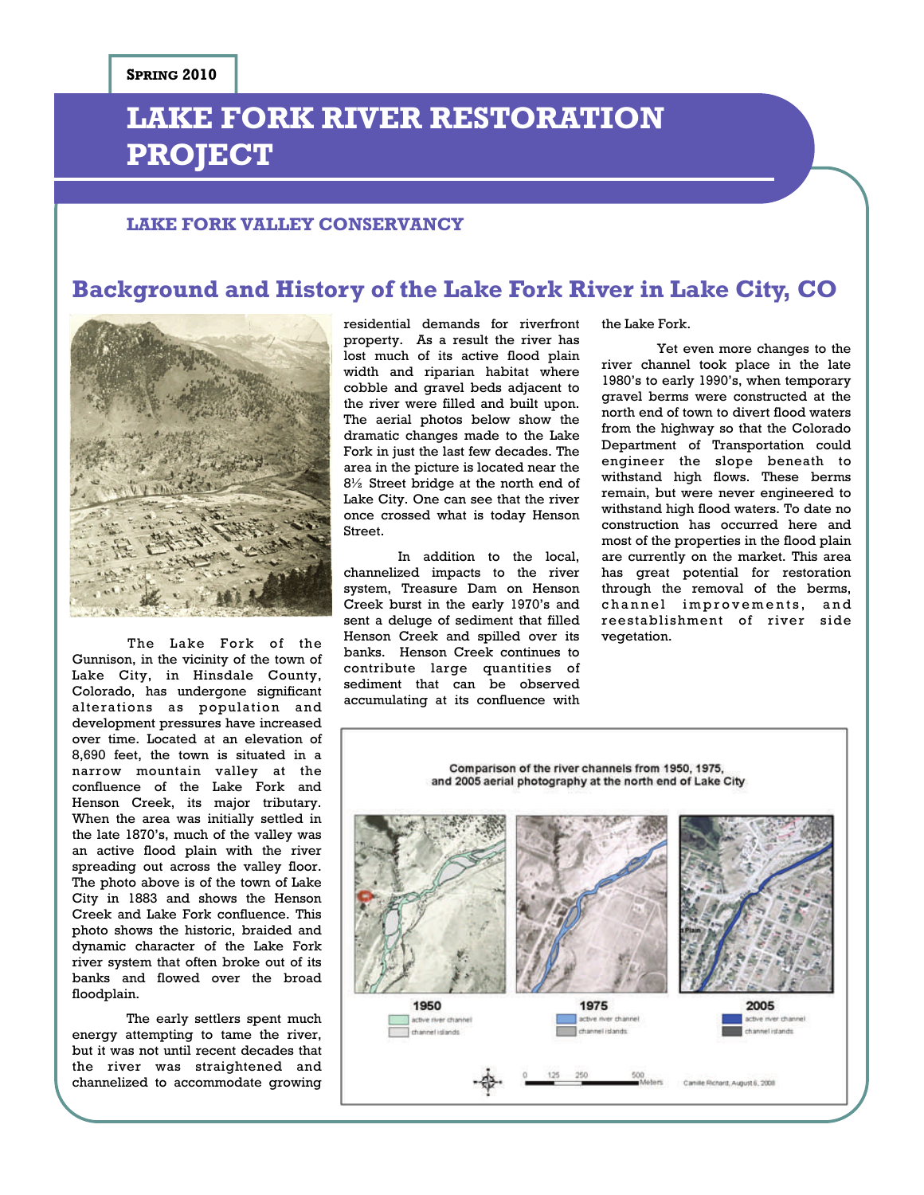# **LAKE FORK RIVER RESTORATION PROJECT**

### **LAKE FORK VALLEY CONSERVANCY**

## **Background and History of the Lake Fork River in Lake City, CO**



Gunnison, in the vicinity of the town of Lake City, in Hinsdale County, Colorado, has undergone significant alterations as population and development pressures have increased over time. Located at an elevation of 8,690 feet, the town is situated in a narrow mountain valley at the confluence of the Lake Fork and Henson Creek, its major tributary. When the area was initially settled in the late 1870's, much of the valley was an active flood plain with the river spreading out across the valley floor. The photo above is of the town of Lake City in 1883 and shows the Henson Creek and Lake Fork confluence. This photo shows the historic, braided and dynamic character of the Lake Fork river system that often broke out of its banks and flowed over the broad floodplain.

 The early settlers spent much energy attempting to tame the river, but it was not until recent decades that the river was straightened and channelized to accommodate growing

residential demands for riverfront property. As a result the river has lost much of its active flood plain width and riparian habitat where cobble and gravel beds adjacent to the river were filled and built upon. The aerial photos below show the dramatic changes made to the Lake Fork in just the last few decades. The area in the picture is located near the 8½ Street bridge at the north end of Lake City. One can see that the river once crossed what is today Henson **Street** 

The Lake Fork of the Henson Creek and spilled over its vegetation. In addition to the local, channelized impacts to the river system, Treasure Dam on Henson Creek burst in the early 1970's and sent a deluge of sediment that filled banks. Henson Creek continues to contribute large quantities of sediment that can be observed accumulating at its confluence with

the Lake Fork.

Yet even more changes to the river channel took place in the late 1980's to early 1990's, when temporary gravel berms were constructed at the north end of town to divert flood waters from the highway so that the Colorado Department of Transportation could engineer the slope beneath to withstand high flows. These berms remain, but were never engineered to withstand high flood waters. To date no construction has occurred here and most of the properties in the flood plain are currently on the market. This area has great potential for restoration through the removal of the berms, channel improvements, and reestablishment of river side

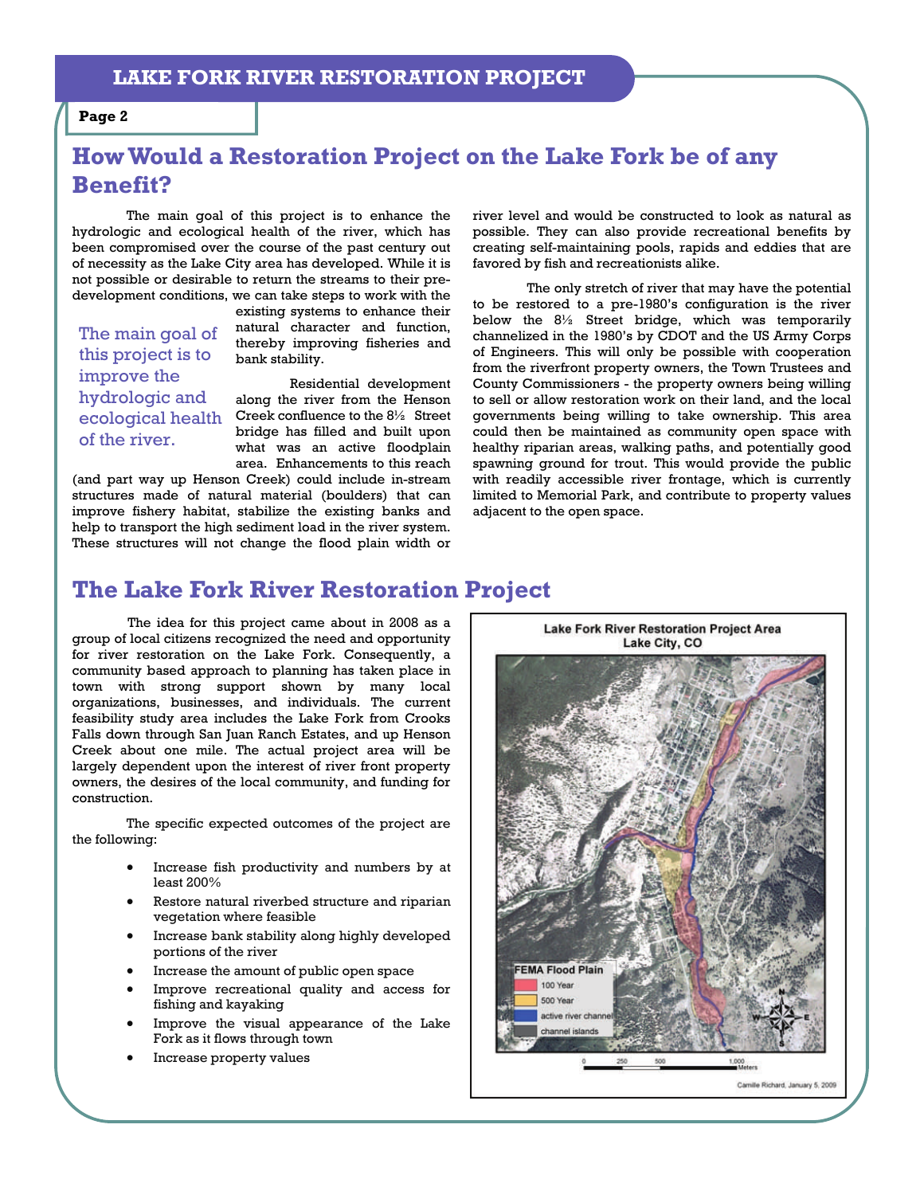#### **Page 2**

# **How Would a Restoration Project on the Lake Fork be of any Benefit?**

The main goal of this project is to enhance the hydrologic and ecological health of the river, which has been compromised over the course of the past century out of necessity as the Lake City area has developed. While it is not possible or desirable to return the streams to their predevelopment conditions, we can take steps to work with the

The main goal of this project is to improve the hydrologic and of the river.

existing systems to enhance their natural character and function, thereby improving fisheries and bank stability.

Residential development along the river from the Henson ecological health Creek confluence to the 81/2 Street bridge has filled and built upon what was an active floodplain area. Enhancements to this reach

(and part way up Henson Creek) could include in-stream structures made of natural material (boulders) that can improve fishery habitat, stabilize the existing banks and help to transport the high sediment load in the river system. These structures will not change the flood plain width or

river level and would be constructed to look as natural as possible. They can also provide recreational benefits by creating self-maintaining pools, rapids and eddies that are favored by fish and recreationists alike.

 The only stretch of river that may have the potential to be restored to a pre-1980's configuration is the river below the 8½ Street bridge, which was temporarily channelized in the 1980's by CDOT and the US Army Corps of Engineers. This will only be possible with cooperation from the riverfront property owners, the Town Trustees and County Commissioners - the property owners being willing to sell or allow restoration work on their land, and the local governments being willing to take ownership. This area could then be maintained as community open space with healthy riparian areas, walking paths, and potentially good spawning ground for trout. This would provide the public with readily accessible river frontage, which is currently limited to Memorial Park, and contribute to property values adjacent to the open space.

# **The Lake Fork River Restoration Project**

The idea for this project came about in 2008 as a group of local citizens recognized the need and opportunity for river restoration on the Lake Fork. Consequently, a community based approach to planning has taken place in town with strong support shown by many local organizations, businesses, and individuals. The current feasibility study area includes the Lake Fork from Crooks Falls down through San Juan Ranch Estates, and up Henson Creek about one mile. The actual project area will be largely dependent upon the interest of river front property owners, the desires of the local community, and funding for construction.

The specific expected outcomes of the project are the following:

- Increase fish productivity and numbers by at least 200%
- Restore natural riverbed structure and riparian vegetation where feasible
- Increase bank stability along highly developed portions of the river
- Increase the amount of public open space
- Improve recreational quality and access for fishing and kayaking
- Improve the visual appearance of the Lake Fork as it flows through town
- Increase property values

Lake Fork River Restoration Project Area Lake City, CO

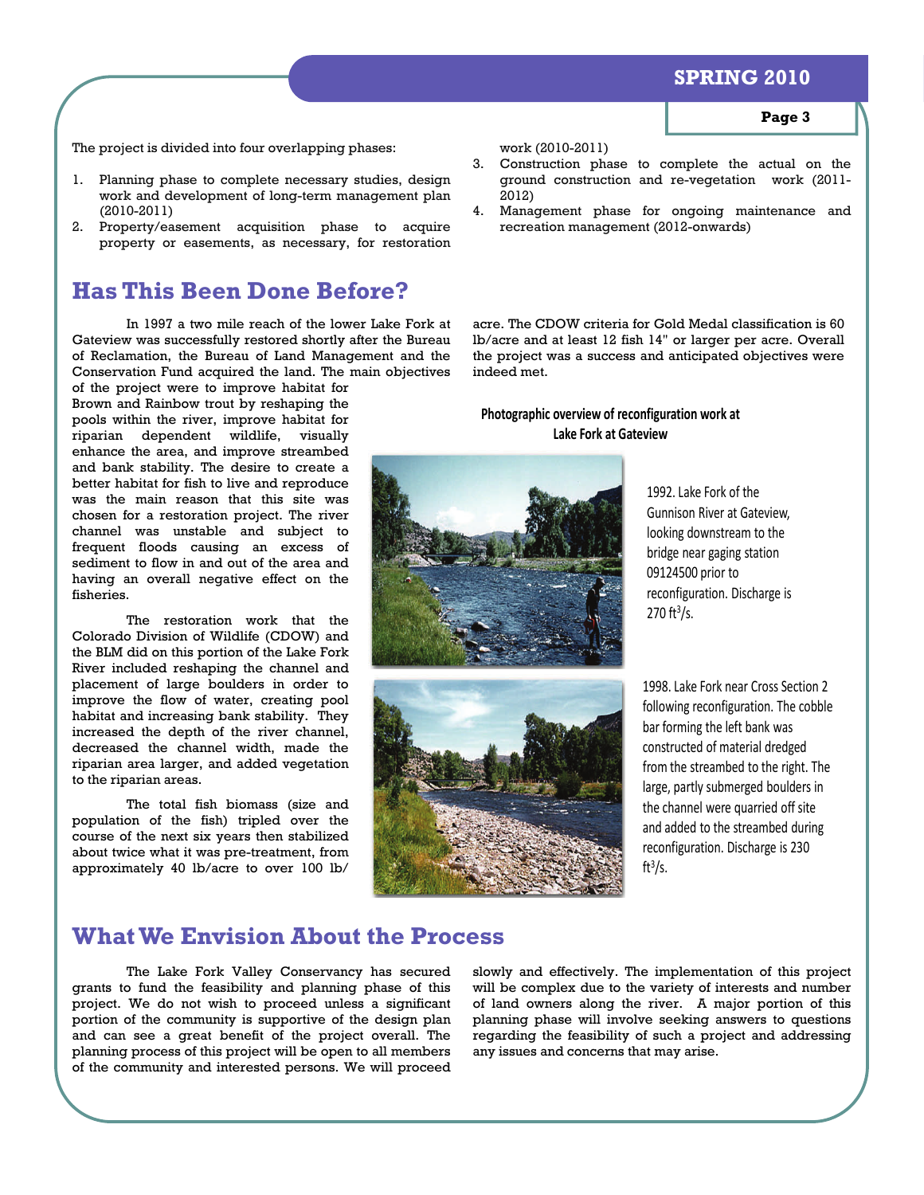### **SPRING 2010**

The project is divided into four overlapping phases:

- 1. Planning phase to complete necessary studies, design work and development of long-term management plan (2010-2011)
- 2. Property/easement acquisition phase to acquire property or easements, as necessary, for restoration

# **Has This Been Done Before?**

 In 1997 a two mile reach of the lower Lake Fork at Gateview was successfully restored shortly after the Bureau of Reclamation, the Bureau of Land Management and the Conservation Fund acquired the land. The main objectives

of the project were to improve habitat for Brown and Rainbow trout by reshaping the pools within the river, improve habitat for riparian dependent wildlife, visually enhance the area, and improve streambed and bank stability. The desire to create a better habitat for fish to live and reproduce was the main reason that this site was chosen for a restoration project. The river channel was unstable and subject to frequent floods causing an excess of sediment to flow in and out of the area and having an overall negative effect on the fisheries.

 The restoration work that the Colorado Division of Wildlife (CDOW) and the BLM did on this portion of the Lake Fork River included reshaping the channel and placement of large boulders in order to improve the flow of water, creating pool habitat and increasing bank stability. They increased the depth of the river channel, decreased the channel width, made the riparian area larger, and added vegetation to the riparian areas.

 The total fish biomass (size and population of the fish) tripled over the course of the next six years then stabilized about twice what it was pre-treatment, from approximately 40 lb/acre to over 100 lb/

work (2010-2011)

- 3. Construction phase to complete the actual on the ground construction and re-vegetation work (2011- 2012)
- 4. Management phase for ongoing maintenance and recreation management (2012-onwards)

acre. The CDOW criteria for Gold Medal classification is 60 lb/acre and at least 12 fish 14" or larger per acre. Overall the project was a success and anticipated objectives were indeed met.

#### **Photographic overview of reconfiguration work at Lake Fork at Gateview**





1992. Lake Fork of the Gunnison River at Gateview, looking downstream to the bridge near gaging station 09124500 prior to reconfiguration. Discharge is  $270$  ft $3/s$ .

1998. Lake Fork near Cross Section 2 following reconfiguration. The cobble bar forming the left bank was constructed of material dredged from the streambed to the right. The large, partly submerged boulders in the channel were quarried off site and added to the streambed during reconfiguration. Discharge is 230 ft $3/s$ .

### **What We Envision About the Process**

 The Lake Fork Valley Conservancy has secured grants to fund the feasibility and planning phase of this project. We do not wish to proceed unless a significant portion of the community is supportive of the design plan and can see a great benefit of the project overall. The planning process of this project will be open to all members of the community and interested persons. We will proceed

slowly and effectively. The implementation of this project will be complex due to the variety of interests and number of land owners along the river. A major portion of this planning phase will involve seeking answers to questions regarding the feasibility of such a project and addressing any issues and concerns that may arise.